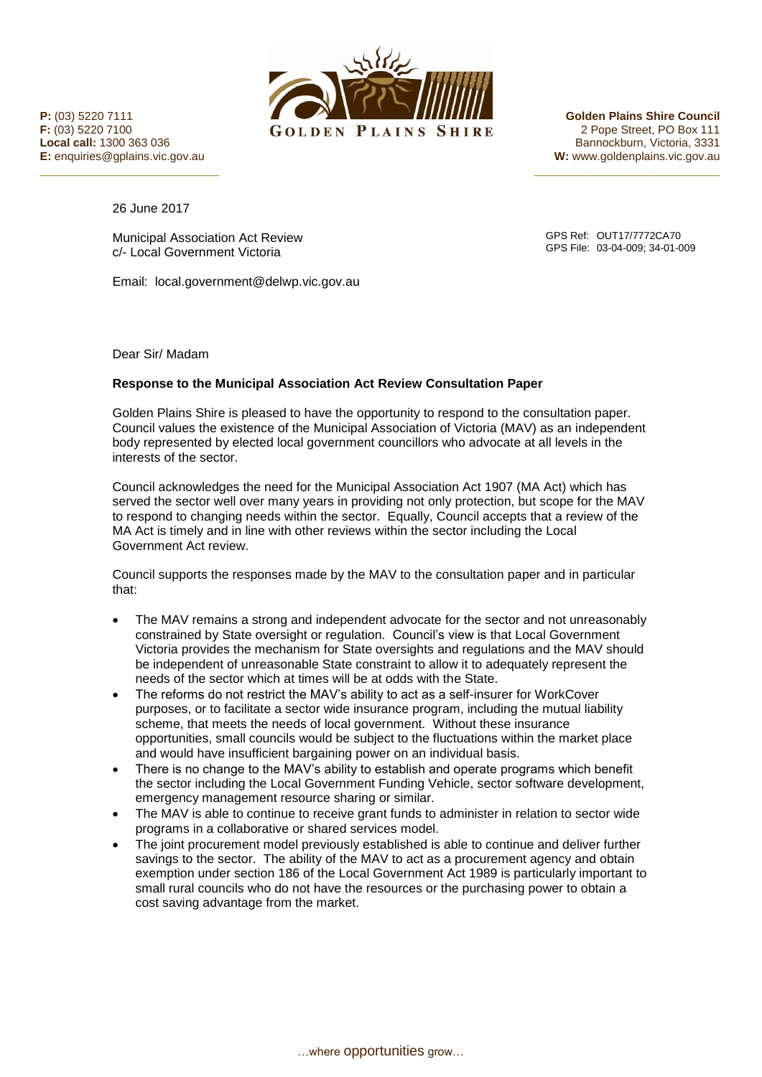

 $\frac{1}{2}$  , and the contribution of  $\frac{1}{2}$  , and the contribution of  $\frac{1}{2}$  , and  $\frac{1}{2}$  , and  $\frac{1}{2}$  , and  $\frac{1}{2}$  , and  $\frac{1}{2}$  , and  $\frac{1}{2}$  , and  $\frac{1}{2}$  , and  $\frac{1}{2}$  , and  $\frac{1}{2}$  , and  $\frac{1$ 

**Local call:** 1300 363 036 Bannockburn, Victoria, 3331 **E:** enquiries@gplains.vic.gov.au **W:** www.goldenplains.vic.gov.au

26 June 2017

Municipal Association Act Review c/- Local Government Victoria

Email: local.government@delwp.vic.gov.au

GPS Ref: OUT17/7772CA70 GPS File: 03-04-009; 34-01-009

Dear Sir/ Madam

## **Response to the Municipal Association Act Review Consultation Paper**

Golden Plains Shire is pleased to have the opportunity to respond to the consultation paper. Council values the existence of the Municipal Association of Victoria (MAV) as an independent body represented by elected local government councillors who advocate at all levels in the interests of the sector.

Council acknowledges the need for the Municipal Association Act 1907 (MA Act) which has served the sector well over many years in providing not only protection, but scope for the MAV to respond to changing needs within the sector. Equally, Council accepts that a review of the MA Act is timely and in line with other reviews within the sector including the Local Government Act review.

Council supports the responses made by the MAV to the consultation paper and in particular that:

- The MAV remains a strong and independent advocate for the sector and not unreasonably constrained by State oversight or regulation. Council's view is that Local Government Victoria provides the mechanism for State oversights and regulations and the MAV should be independent of unreasonable State constraint to allow it to adequately represent the needs of the sector which at times will be at odds with the State.
- The reforms do not restrict the MAV's ability to act as a self-insurer for WorkCover purposes, or to facilitate a sector wide insurance program, including the mutual liability scheme, that meets the needs of local government. Without these insurance opportunities, small councils would be subject to the fluctuations within the market place and would have insufficient bargaining power on an individual basis.
- There is no change to the MAV's ability to establish and operate programs which benefit the sector including the Local Government Funding Vehicle, sector software development, emergency management resource sharing or similar.
- The MAV is able to continue to receive grant funds to administer in relation to sector wide programs in a collaborative or shared services model.
- The joint procurement model previously established is able to continue and deliver further savings to the sector. The ability of the MAV to act as a procurement agency and obtain exemption under section 186 of the Local Government Act 1989 is particularly important to small rural councils who do not have the resources or the purchasing power to obtain a cost saving advantage from the market.